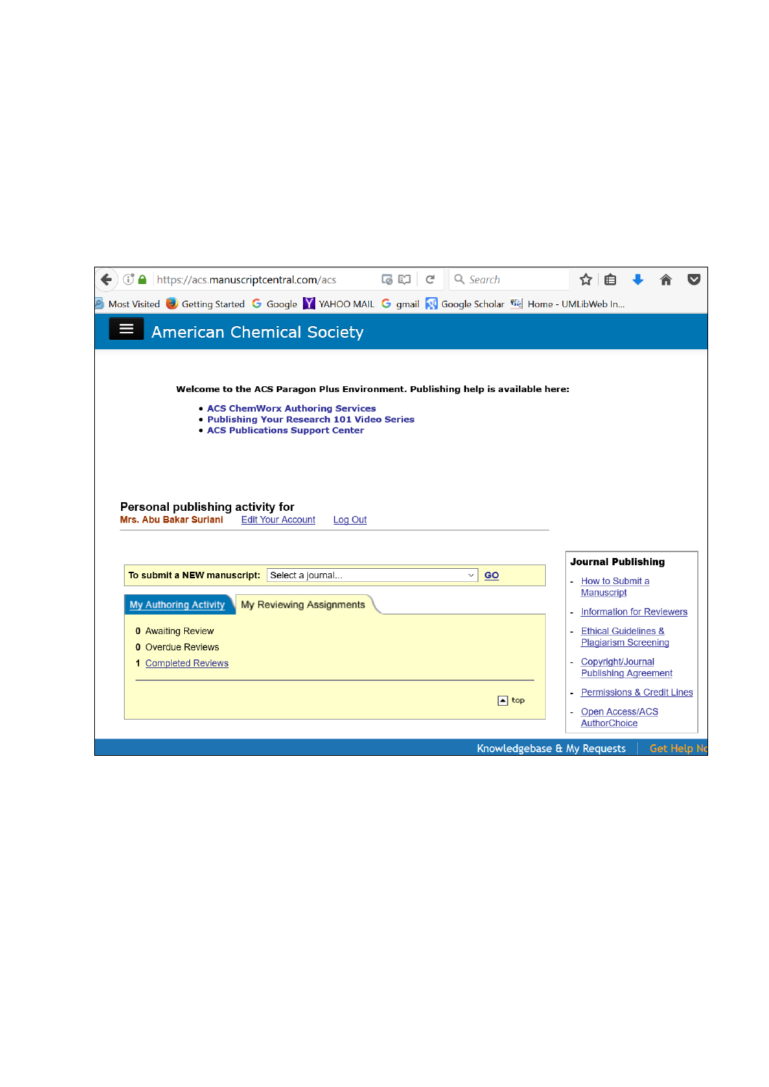| <b><i>C</i></b> A https://acs.manuscriptcentral.com/acs                                                |                              |                |                                                  |  |
|--------------------------------------------------------------------------------------------------------|------------------------------|----------------|--------------------------------------------------|--|
| Most Visited C Getting Started G Google Y YAHOO MAIL G gmail N Google Scholar Wight Home - UMLibWeb In |                              |                |                                                  |  |
| <b>American Chemical Society</b>                                                                       |                              |                |                                                  |  |
|                                                                                                        |                              |                |                                                  |  |
| Welcome to the ACS Paragon Plus Environment. Publishing help is available here:                        |                              |                |                                                  |  |
| • ACS ChemWorx Authoring Services                                                                      |                              |                |                                                  |  |
| . Publishing Your Research 101 Video Series                                                            |                              |                |                                                  |  |
| <b>• ACS Publications Support Center</b>                                                               |                              |                |                                                  |  |
|                                                                                                        |                              |                |                                                  |  |
|                                                                                                        |                              |                |                                                  |  |
|                                                                                                        |                              |                |                                                  |  |
|                                                                                                        |                              |                |                                                  |  |
| Personal publishing activity for                                                                       |                              |                |                                                  |  |
| Mrs. Abu Bakar Suriani<br><b>Edit Your Account</b><br>Log Out                                          |                              |                |                                                  |  |
|                                                                                                        |                              |                |                                                  |  |
|                                                                                                        |                              |                | <b>Journal Publishing</b>                        |  |
| To submit a NEW manuscript:<br>Select a journal<br>GO<br>$\checkmark$                                  |                              |                | - How to Submit a                                |  |
| My Reviewing Assignments                                                                               |                              |                | <b>Manuscript</b>                                |  |
| <b>My Authoring Activity</b>                                                                           |                              |                | <b>Information for Reviewers</b>                 |  |
| <b>0 Awaiting Review</b>                                                                               |                              |                | <b>Ethical Guidelines &amp;</b>                  |  |
| <b>0</b> Overdue Reviews                                                                               |                              |                | <b>Plagiarism Screening</b>                      |  |
| <b>1</b> Completed Reviews                                                                             |                              |                | Copyright/Journal<br><b>Publishing Agreement</b> |  |
|                                                                                                        |                              |                | <b>Permissions &amp; Credit Lines</b>            |  |
|                                                                                                        | $\boxed{\blacktriangle}$ top | $\blacksquare$ | <b>Open Access/ACS</b>                           |  |